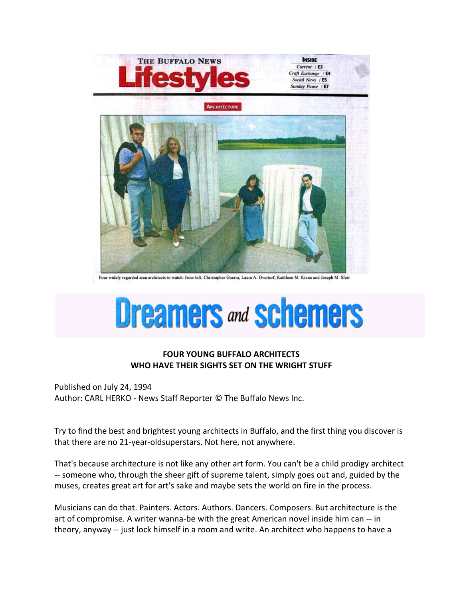

Four widely regarded area architects to watch: from left, Christopher Guerra, Laura A. Overturf, Kathleen M. Kinan and Joseph M. Sfeir

## **Dreamers and schemers**

## **FOUR YOUNG BUFFALO ARCHITECTS WHO HAVE THEIR SIGHTS SET ON THE WRIGHT STUFF**

Published on July 24, 1994 Author: CARL HERKO - News Staff Reporter © The Buffalo News Inc.

Try to find the best and brightest young architects in Buffalo, and the first thing you discover is that there are no 21-year-oldsuperstars. Not here, not anywhere.

That's because architecture is not like any other art form. You can't be a child prodigy architect -- someone who, through the sheer gift of supreme talent, simply goes out and, guided by the muses, creates great art for art's sake and maybe sets the world on fire in the process.

Musicians can do that. Painters. Actors. Authors. Dancers. Composers. But architecture is the art of compromise. A writer wanna-be with the great American novel inside him can -- in theory, anyway -- just lock himself in a room and write. An architect who happens to have a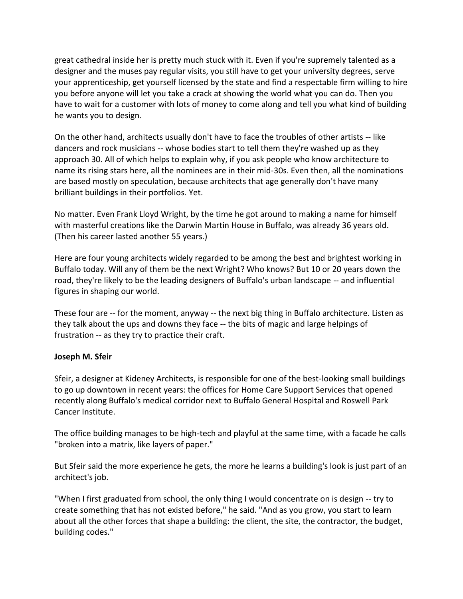great cathedral inside her is pretty much stuck with it. Even if you're supremely talented as a designer and the muses pay regular visits, you still have to get your university degrees, serve your apprenticeship, get yourself licensed by the state and find a respectable firm willing to hire you before anyone will let you take a crack at showing the world what you can do. Then you have to wait for a customer with lots of money to come along and tell you what kind of building he wants you to design.

On the other hand, architects usually don't have to face the troubles of other artists -- like dancers and rock musicians -- whose bodies start to tell them they're washed up as they approach 30. All of which helps to explain why, if you ask people who know architecture to name its rising stars here, all the nominees are in their mid-30s. Even then, all the nominations are based mostly on speculation, because architects that age generally don't have many brilliant buildings in their portfolios. Yet.

No matter. Even Frank Lloyd Wright, by the time he got around to making a name for himself with masterful creations like the Darwin Martin House in Buffalo, was already 36 years old. (Then his career lasted another 55 years.)

Here are four young architects widely regarded to be among the best and brightest working in Buffalo today. Will any of them be the next Wright? Who knows? But 10 or 20 years down the road, they're likely to be the leading designers of Buffalo's urban landscape -- and influential figures in shaping our world.

These four are -- for the moment, anyway -- the next big thing in Buffalo architecture. Listen as they talk about the ups and downs they face -- the bits of magic and large helpings of frustration -- as they try to practice their craft.

## **Joseph M. Sfeir**

Sfeir, a designer at Kideney Architects, is responsible for one of the best-looking small buildings to go up downtown in recent years: the offices for Home Care Support Services that opened recently along Buffalo's medical corridor next to Buffalo General Hospital and Roswell Park Cancer Institute.

The office building manages to be high-tech and playful at the same time, with a facade he calls "broken into a matrix, like layers of paper."

But Sfeir said the more experience he gets, the more he learns a building's look is just part of an architect's job.

"When I first graduated from school, the only thing I would concentrate on is design -- try to create something that has not existed before," he said. "And as you grow, you start to learn about all the other forces that shape a building: the client, the site, the contractor, the budget, building codes."